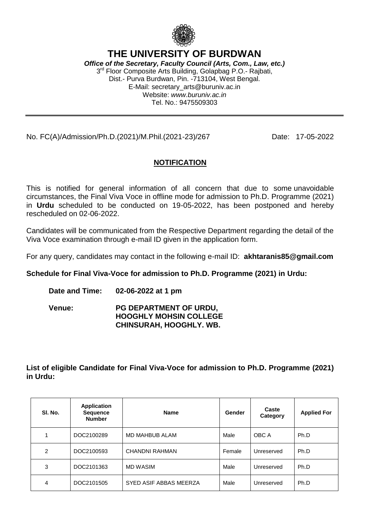

## **THE UNIVERSITY OF BURDWAN**

*Office of the Secretary, Faculty Council (Arts, Com., Law, etc.)* 3<sup>rd</sup> Floor Composite Arts Building, Golapbag P.O.- Rajbati, Dist.- Purva Burdwan, Pin. -713104, West Bengal. E-Mail: secretary\_arts@buruniv.ac.in Website: *www.buruniv.ac.in* Tel. No.: 9475509303

### No. FC(A)/Admission/Ph.D.(2021)/M.Phil.(2021-23)/267 Date: 17-05-2022

### **NOTIFICATION**

This is notified for general information of all concern that due to some unavoidable circumstances, the Final Viva Voce in offline mode for admission to Ph.D. Programme (2021) in **Urdu** scheduled to be conducted on 19-05-2022, has been postponed and hereby rescheduled on 02-06-2022.

Candidates will be communicated from the Respective Department regarding the detail of the Viva Voce examination through e-mail ID given in the application form.

For any query, candidates may contact in the following e-mail ID: **akhtaranis85@gmail.com**

#### **Schedule for Final Viva-Voce for admission to Ph.D. Programme (2021) in Urdu:**

**Date and Time: 02-06-2022 at 1 pm**

**Venue: PG DEPARTMENT OF URDU, HOOGHLY MOHSIN COLLEGE CHINSURAH, HOOGHLY. WB.**

**List of eligible Candidate for Final Viva-Voce for admission to Ph.D. Programme (2021) in Urdu:**

| SI. No. | <b>Application</b><br><b>Sequence</b><br><b>Number</b> | <b>Name</b>            | Gender | Caste<br>Category | <b>Applied For</b> |
|---------|--------------------------------------------------------|------------------------|--------|-------------------|--------------------|
|         | DOC2100289                                             | MD MAHBUB ALAM         | Male   | OBC A             | Ph.D               |
| 2       | DOC2100593                                             | CHANDNI RAHMAN         | Female | Unreserved        | Ph.D               |
| 3       | DOC2101363                                             | MD WASIM               | Male   | Unreserved        | Ph.D               |
| 4       | DOC2101505                                             | SYED ASIF ABBAS MEERZA | Male   | Unreserved        | Ph.D               |